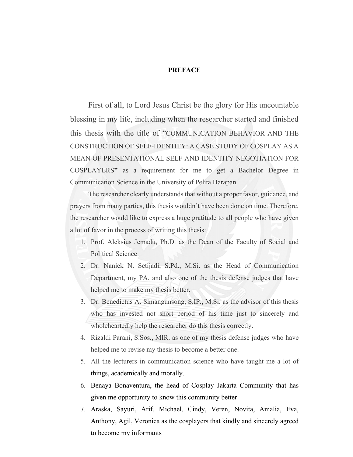#### **PREFACE**

First of all, to Lord Jesus Christ be the glory for His uncountable blessing in my life, including when the researcher started and finished this thesis with the title of "COMMUNICATION BEHAVIOR AND THE CONSTRUCTION OF SELF-IDENTITY: A CASE STUDY OF COSPLAY AS A MEAN OF PRESENTATIONAL SELF AND IDENTITY NEGOTIATION FOR COSPLAYERS**"** as a requirement for me to get a Bachelor Degree in Communication Science in the University of Pelita Harapan.

The researcher clearly understands that without a proper favor, guidance, and prayers from many parties, this thesis wouldn't have been done on time. Therefore, the researcher would like to express a huge gratitude to all people who have given a lot of favor in the process of writing this thesis:

- 1. Prof. Aleksius Jemadu, Ph.D. as the Dean of the Faculty of Social and Political Science
- 2. Dr. Naniek N. Setijadi, S.Pd., M.Si. as the Head of Communication Department, my PA, and also one of the thesis defense judges that have helped me to make my thesis better.
- 3. Dr. Benedictus A. Simangunsong, S.IP., M.Si. as the advisor of this thesis who has invested not short period of his time just to sincerely and wholeheartedly help the researcher do this thesis correctly.
- 4. Rizaldi Parani, S.Sos., MIR. as one of my thesis defense judges who have helped me to revise my thesis to become a better one.
- 5. All the lecturers in communication science who have taught me a lot of things, academically and morally.
- 6. Benaya Bonaventura, the head of Cosplay Jakarta Community that has given me opportunity to know this community better
- 7. Araska, Sayuri, Arif, Michael, Cindy, Veren, Novita, Amalia, Eva, Anthony, Agil, Veronica as the cosplayers that kindly and sincerely agreed to become my informants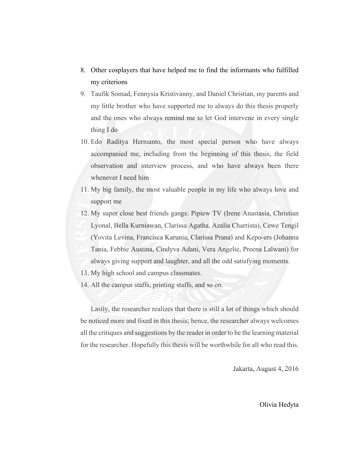- 8. Other cosplayers that have helped me to find the informants who fulfilled my criterions
- 9. Taufik Somad, Fennysia Kristivanny, and Daniel Christian, my parents and my little brother who have supported me to always do this thesis properly and the ones who always remind me to let God intervene in every single thing I do
- 10. Edo Raditya Hermanto, the most special person who have always accompanied me, including from the beginning of this thesis, the field observation and interview process, and who have always been there whenever I need him
- 11. My big family, the most valuable people in my life who always love and support me
- 12. My super close best friends gangs: Pipiew TV (Irene Anastasia, Christian Lyonal, Bella Kurniawan, Clarissa Agatha, Azalia Charrista), Cewe Tengil (Yovita Levina, Francisca Karunia, Clarissa Prana) and Kepo-ers (Johanna Tania, Febbie Austina, Cindyva Adani, Vera Angelie, Preena Lalwani) for always giving support and laughter, and all the odd satisfying moments.
- 13. My high school and campus classmates.
- 14. All the campus staffs, printing staffs, and so on.

Lastly, the researcher realizes that there is still a lot of things which should be noticed more and fixed in this thesis; hence, the researcher always welcomes all the critiques and suggestions by the reader in order to be the learning material for the researcher. Hopefully this thesis will be worthwhile for all who read this.

Jakarta, August 4, 2016

Olivia Hedyta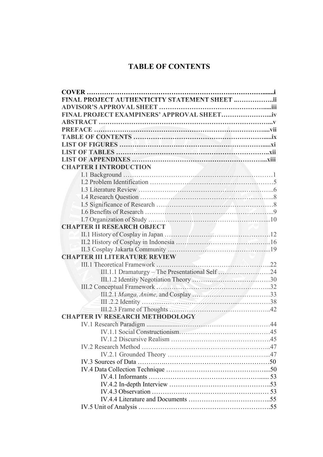#### **TABLE OF CONTENTS**

| FINAL PROJECT AUTHENTICITY STATEMENT SHEET ii |  |
|-----------------------------------------------|--|
|                                               |  |
|                                               |  |
|                                               |  |
|                                               |  |
|                                               |  |
|                                               |  |
|                                               |  |
|                                               |  |
| <b>CHAPTER I INTRODUCTION</b>                 |  |
|                                               |  |
|                                               |  |
|                                               |  |
|                                               |  |
|                                               |  |
|                                               |  |
|                                               |  |
| <b>CHAPTER II RESEARCH OBJECT</b>             |  |
|                                               |  |
|                                               |  |
|                                               |  |
| <b>CHAPTER III LITERATURE REVIEW</b>          |  |
|                                               |  |
|                                               |  |
|                                               |  |
|                                               |  |
|                                               |  |
|                                               |  |
|                                               |  |
| <b>CHAPTER IV RESEARCH METHODOLOGY</b>        |  |
|                                               |  |
|                                               |  |
|                                               |  |
|                                               |  |
|                                               |  |
|                                               |  |
|                                               |  |
|                                               |  |
|                                               |  |
|                                               |  |
|                                               |  |
|                                               |  |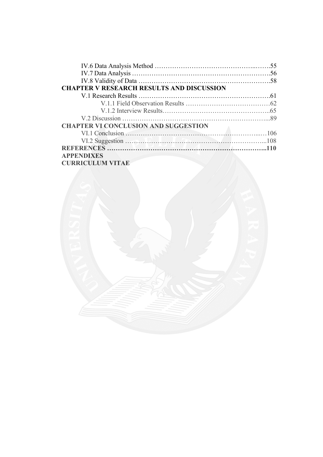|                                                  | 55 |
|--------------------------------------------------|----|
|                                                  |    |
|                                                  |    |
| <b>CHAPTER V RESEARCH RESULTS AND DISCUSSION</b> |    |
|                                                  |    |
|                                                  |    |
|                                                  |    |
|                                                  |    |
| <b>CHAPTER VI CONCLUSION AND SUGGESTION</b>      |    |
|                                                  |    |
|                                                  |    |
|                                                  |    |
| <b>APPENDIXES</b>                                |    |
| <b>CURRICULUM VITAE</b>                          |    |

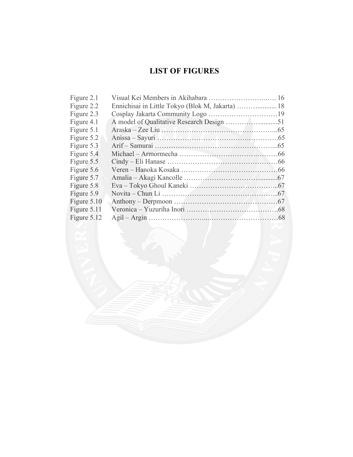# **LIST OF FIGURES**

| Figure 2.1  |                                     |  |
|-------------|-------------------------------------|--|
| Figure 2.2  |                                     |  |
| Figure 2.3  |                                     |  |
| Figure 4.1  |                                     |  |
| Figure 5.1  | Araska – Zee Liu                    |  |
| Figure 5.2  | Anissa – Sayuri NAMAA Management (5 |  |
| Figure 5.3  |                                     |  |
| Figure 5.4  |                                     |  |
| Figure 5.5  |                                     |  |
| Figure 5.6  |                                     |  |
| Figure 5.7  |                                     |  |
| Figure 5.8  |                                     |  |
| Figure 5.9  |                                     |  |
| Figure 5.10 |                                     |  |
| Figure 5.11 |                                     |  |
| Figure 5.12 |                                     |  |
|             |                                     |  |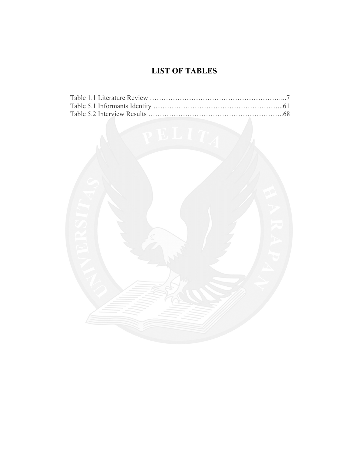# **LIST OF TABLES**